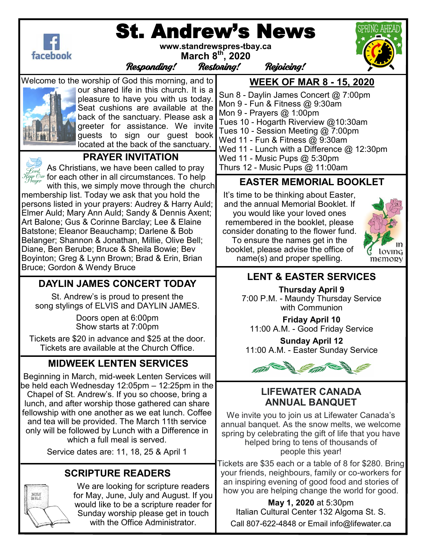

# St. Andrew's News

**www.standrewspres-tbay.ca March 8th, 2020**

Responding! Restoring! Rejoicing!

Welcome to the worship of God this morning, and to



our shared life in this church. It is a pleasure to have you with us today. Seat cushions are available at the back of the sanctuary. Please ask a greeter for assistance. We invite guests to sign our guest book located at the back of the sanctuary.



#### **PRAYER INVITATION**

As Christians, we have been called to pray  $\widetilde{\mathcal{H}}_{\mathcal{F}\!\mathit{c}\!\mathit{y}\!\mathit{y}\!\mathit{r}}^{\mathcal{C}\!\mathit{w}\!\mathit{r}}$  for each other in all circumstances. To help

with this, we simply move through the church membership list. Today we ask that you hold the persons listed in your prayers: Audrey & Harry Auld; Elmer Auld; Mary Ann Auld; Sandy & Dennis Axent; Art Balone; Gus & Corinne Barclay; Lee & Elaine Batstone; Eleanor Beauchamp; Darlene & Bob Belanger; Shannon & Jonathan, Millie, Olive Bell; Diane, Ben Berube; Bruce & Sheila Bowie; Bev Boyinton; Greg & Lynn Brown; Brad & Erin, Brian Bruce; Gordon & Wendy Bruce

## **DAYLIN JAMES CONCERT TODAY**

St. Andrew's is proud to present the song stylings of ELVIS and DAYLIN JAMES.

> Doors open at 6:00pm Show starts at 7:00pm

Tickets are \$20 in advance and \$25 at the door. Tickets are available at the Church Office.

# **MIDWEEK LENTEN SERVICES**

Beginning in March, mid-week Lenten Services will be held each Wednesday 12:05pm – 12:25pm in the Chapel of St. Andrew's. If you so choose, bring a lunch, and after worship those gathered can share fellowship with one another as we eat lunch. Coffee and tea will be provided. The March 11th service only will be followed by Lunch with a Difference in which a full meal is served.

Service dates are: 11, 18, 25 & April 1

## **SCRIPTURE READERS**



We are looking for scripture readers for May, June, July and August. If you would like to be a scripture reader for Sunday worship please get in touch with the Office Administrator.

**WEEK OF MAR 8 - 15, 2020** 

Sun 8 - Daylin James Concert @ 7:00pm Mon 9 - Fun & Fitness @ 9:30am Mon 9 - Prayers @ 1:00pm Tues 10 - Hogarth Riverview @10:30am Tues 10 - Session Meeting @ 7:00pm Wed 11 - Fun & Fitness @ 9:30am Wed 11 - Lunch with a Difference @ 12:30pm Wed 11 - Music Pups @ 5:30pm Thurs 12 - Music Pups @ 11:00am

## **EASTER MEMORIAL BOOKLET**

It's time to be thinking about Easter, and the annual Memorial Booklet. If you would like your loved ones remembered in the booklet, please consider donating to the flower fund. To ensure the names get in the booklet, please advise the office of name(s) and proper spelling.



# **LENT & EASTER SERVICES**

**Thursday April 9**  7:00 P.M. - Maundy Thursday Service with Communion

**Friday April 10**  11:00 A.M. - Good Friday Service

**Sunday April 12**  11:00 A.M. - Easter Sunday Service



#### **LIFEWATER CANADA ANNUAL BANQUET**

We invite you to join us at Lifewater Canada's annual banquet. As the snow melts, we welcome spring by celebrating the gift of life that you have helped bring to tens of thousands of people this year!

Tickets are \$35 each or a table of 8 for \$280. Bring your friends, neighbours, family or co-workers for an inspiring evening of good food and stories of how you are helping change the world for good.

**May 1, 2020** at 5:30pm Italian Cultural Center 132 Algoma St. S. Call 807-622-4848 or Email info@lifewater.ca